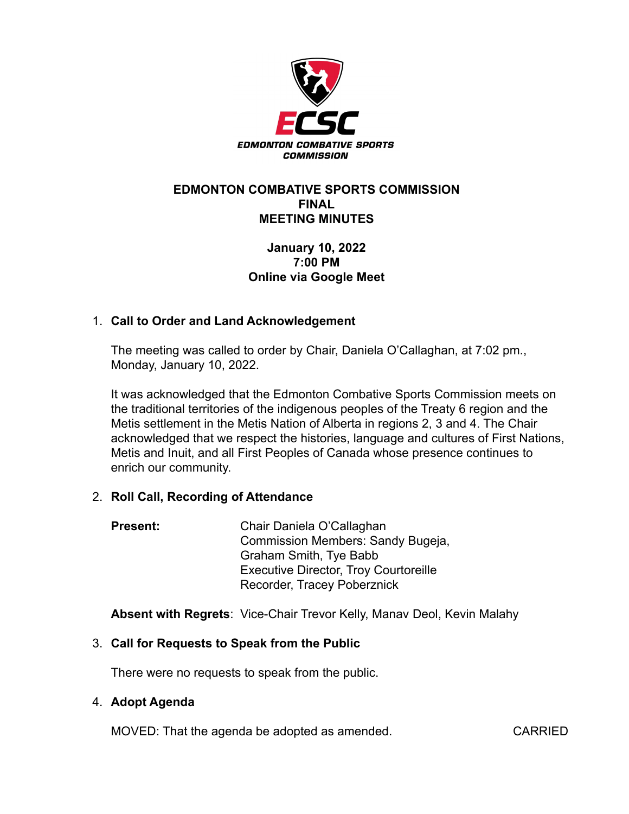

### **EDMONTON COMBATIVE SPORTS COMMISSION FINAL MEETING MINUTES**

# **January 10, 2022 7:00 PM Online via Google Meet**

# 1. **Call to Order and Land Acknowledgement**

The meeting was called to order by Chair, Daniela O'Callaghan, at 7:02 pm., Monday, January 10, 2022.

It was acknowledged that the Edmonton Combative Sports Commission meets on the traditional territories of the indigenous peoples of the Treaty 6 region and the Metis settlement in the Metis Nation of Alberta in regions 2, 3 and 4. The Chair acknowledged that we respect the histories, language and cultures of First Nations, Metis and Inuit, and all First Peoples of Canada whose presence continues to enrich our community.

### 2. **Roll Call, Recording of Attendance**

| <b>Present:</b> | Chair Daniela O'Callaghan                    |
|-----------------|----------------------------------------------|
|                 | Commission Members: Sandy Bugeja,            |
|                 | <b>Graham Smith, Tye Babb</b>                |
|                 | <b>Executive Director, Troy Courtoreille</b> |
|                 | Recorder, Tracey Poberznick                  |

**Absent with Regrets**: Vice-Chair Trevor Kelly, Manav Deol, Kevin Malahy

# 3. **Call for Requests to Speak from the Public**

There were no requests to speak from the public.

### 4. **Adopt Agenda**

MOVED: That the agenda be adopted as amended. CARRIED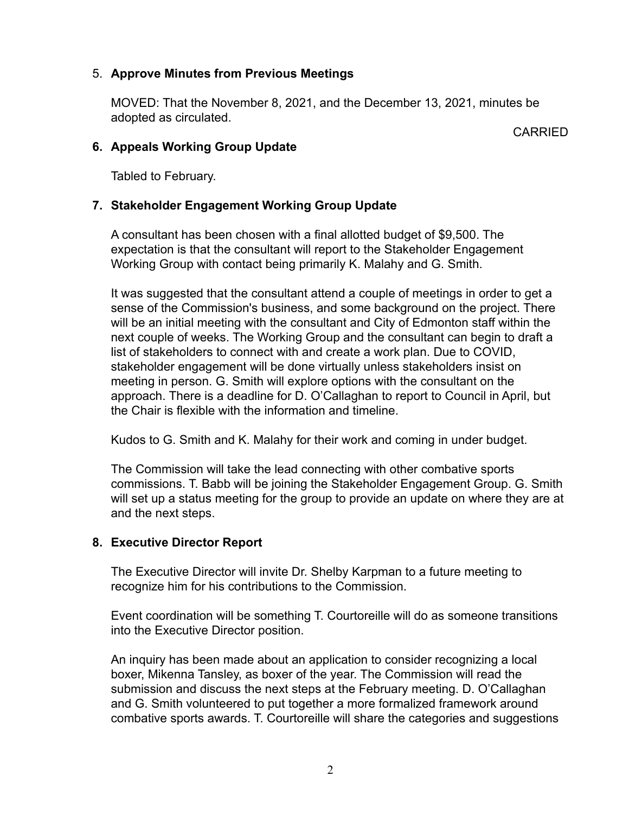## 5. **Approve Minutes from Previous Meetings**

MOVED: That the November 8, 2021, and the December 13, 2021, minutes be adopted as circulated.

**CARRIED** 

### **6. Appeals Working Group Update**

Tabled to February.

## **7. Stakeholder Engagement Working Group Update**

A consultant has been chosen with a final allotted budget of \$9,500. The expectation is that the consultant will report to the Stakeholder Engagement Working Group with contact being primarily K. Malahy and G. Smith.

It was suggested that the consultant attend a couple of meetings in order to get a sense of the Commission's business, and some background on the project. There will be an initial meeting with the consultant and City of Edmonton staff within the next couple of weeks. The Working Group and the consultant can begin to draft a list of stakeholders to connect with and create a work plan. Due to COVID, stakeholder engagement will be done virtually unless stakeholders insist on meeting in person. G. Smith will explore options with the consultant on the approach. There is a deadline for D. O'Callaghan to report to Council in April, but the Chair is flexible with the information and timeline.

Kudos to G. Smith and K. Malahy for their work and coming in under budget.

The Commission will take the lead connecting with other combative sports commissions. T. Babb will be joining the Stakeholder Engagement Group. G. Smith will set up a status meeting for the group to provide an update on where they are at and the next steps.

# **8. Executive Director Report**

The Executive Director will invite Dr. Shelby Karpman to a future meeting to recognize him for his contributions to the Commission.

Event coordination will be something T. Courtoreille will do as someone transitions into the Executive Director position.

An inquiry has been made about an application to consider recognizing a local boxer, Mikenna Tansley, as boxer of the year. The Commission will read the submission and discuss the next steps at the February meeting. D. O'Callaghan and G. Smith volunteered to put together a more formalized framework around combative sports awards. T. Courtoreille will share the categories and suggestions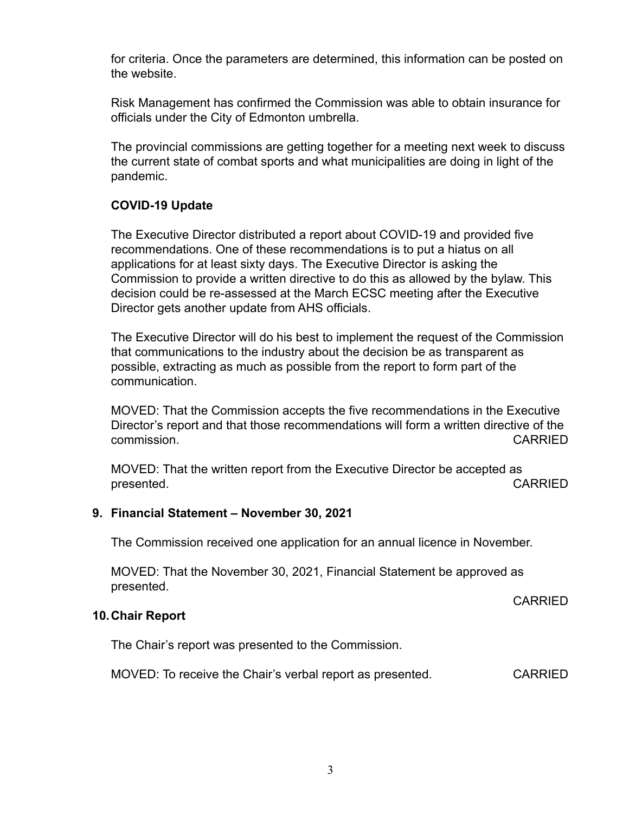for criteria. Once the parameters are determined, this information can be posted on the website.

Risk Management has confirmed the Commission was able to obtain insurance for officials under the City of Edmonton umbrella.

The provincial commissions are getting together for a meeting next week to discuss the current state of combat sports and what municipalities are doing in light of the pandemic.

# **COVID-19 Update**

The Executive Director distributed a report about COVID-19 and provided five recommendations. One of these recommendations is to put a hiatus on all applications for at least sixty days. The Executive Director is asking the Commission to provide a written directive to do this as allowed by the bylaw. This decision could be re-assessed at the March ECSC meeting after the Executive Director gets another update from AHS officials.

The Executive Director will do his best to implement the request of the Commission that communications to the industry about the decision be as transparent as possible, extracting as much as possible from the report to form part of the communication.

MOVED: That the Commission accepts the five recommendations in the Executive Director's report and that those recommendations will form a written directive of the commission. CARRIED

MOVED: That the written report from the Executive Director be accepted as presented. The contract of the contract of the contract of the contract of the contract of the contract of the contract of the contract of the contract of the contract of the contract of the contract of the contract of the

### **9. Financial Statement – November 30, 2021**

The Commission received one application for an annual licence in November.

MOVED: That the November 30, 2021, Financial Statement be approved as presented.

CARRIED

### **10.Chair Report**

The Chair's report was presented to the Commission.

MOVED: To receive the Chair's verbal report as presented. CARRIED